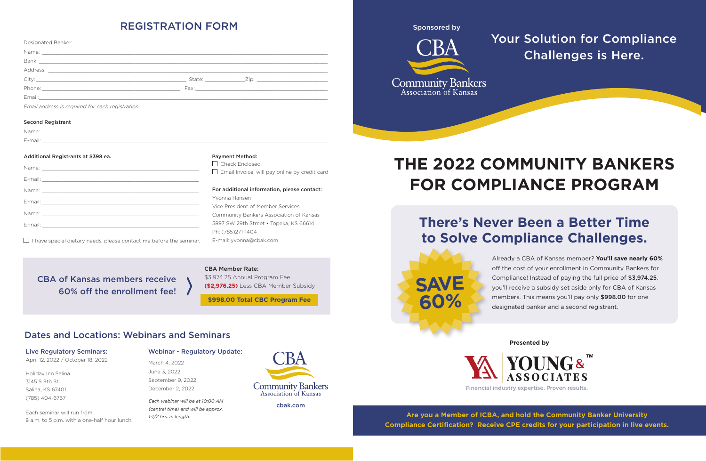| Email address is required for each registration. |                                                                                                                      |
|--------------------------------------------------|----------------------------------------------------------------------------------------------------------------------|
| <b>Second Registrant</b>                         |                                                                                                                      |
|                                                  | Name: <u>Alexander Alexander and Alexander and Alexander and Alexander and Alexander and Alexander and Alexander</u> |
|                                                  |                                                                                                                      |
| Additional Registrants at \$398 ea.              | <b>Payment Method:</b>                                                                                               |
|                                                  | Check Enclosed                                                                                                       |
|                                                  | $\Box$ Email Invoice: will pay online by credit card                                                                 |
|                                                  |                                                                                                                      |
|                                                  | For additional information, please contact:                                                                          |
|                                                  | Yvonna Hansen                                                                                                        |
|                                                  | Vice President of Member Services                                                                                    |
|                                                  | Community Bankers Association of Kansas                                                                              |

 $\Box$  I have special dietary needs, please contact me before the seminar.

E-mail: \_\_\_\_\_\_\_\_\_\_\_\_\_\_\_\_\_\_\_\_\_\_\_\_\_\_\_\_\_\_\_\_\_\_\_\_\_\_\_\_\_\_\_\_\_\_\_\_\_\_\_

5897 SW 29th Street • Topeka, KS 66614

Ph: (785)271-1404

E-mail: yvonna@cbak.com

cbak.com

# REGISTRATION FORM

Each seminar will run from 8 a.m. to 5 p.m. with a one-half hour lunch.

# Dates and Locations: Webinars and Seminars

### Webinar - Regulatory Update:

March 4, 2022 June 3, 2022 September 9, 2022 December 2, 2022

### Live Regulatory Seminars:

April 12, 2022 / October 18, 2022

Holiday Inn Salina 3145 S 9th St. Salina, KS 67401 (785) 404-6767 *Each webinar will be at 10:00 AM* 

*(central time) and will be approx. 1-1/2 hrs. in length.*



#### CBA Member Rate:

\$3,974.25 Annual Program Fee **(\$2,976.25)** Less CBA Member Subsidy

CBA of Kansas members receive

60% off the enrollment fee!

**\$998.00 Total CBC Program Fee**

Sponsored by



# **THE 2022 COMMUNITY BANKERS FOR COMPLIANCE PROGRAM**

Already a CBA of Kansas member? **You'll save nearly 60%** off the cost of your enrollment in Community Bankers for Compliance! Instead of paying the full price of \$3,974.25, you'll receive a subsidy set aside only for CBA of Kansas members. This means you'll pay only \$998.00 for one designated banker and a second registrant.

# **There's Never Been a Better Time to Solve Compliance Challenges.**

# Your Solution for Compliance Challenges is Here.

**Are you a Member of ICBA, and hold the Community Banker University Compliance Certification? Receive CPE credits for your participation in live events.** 

**SAVE 60%**

**Presented by**